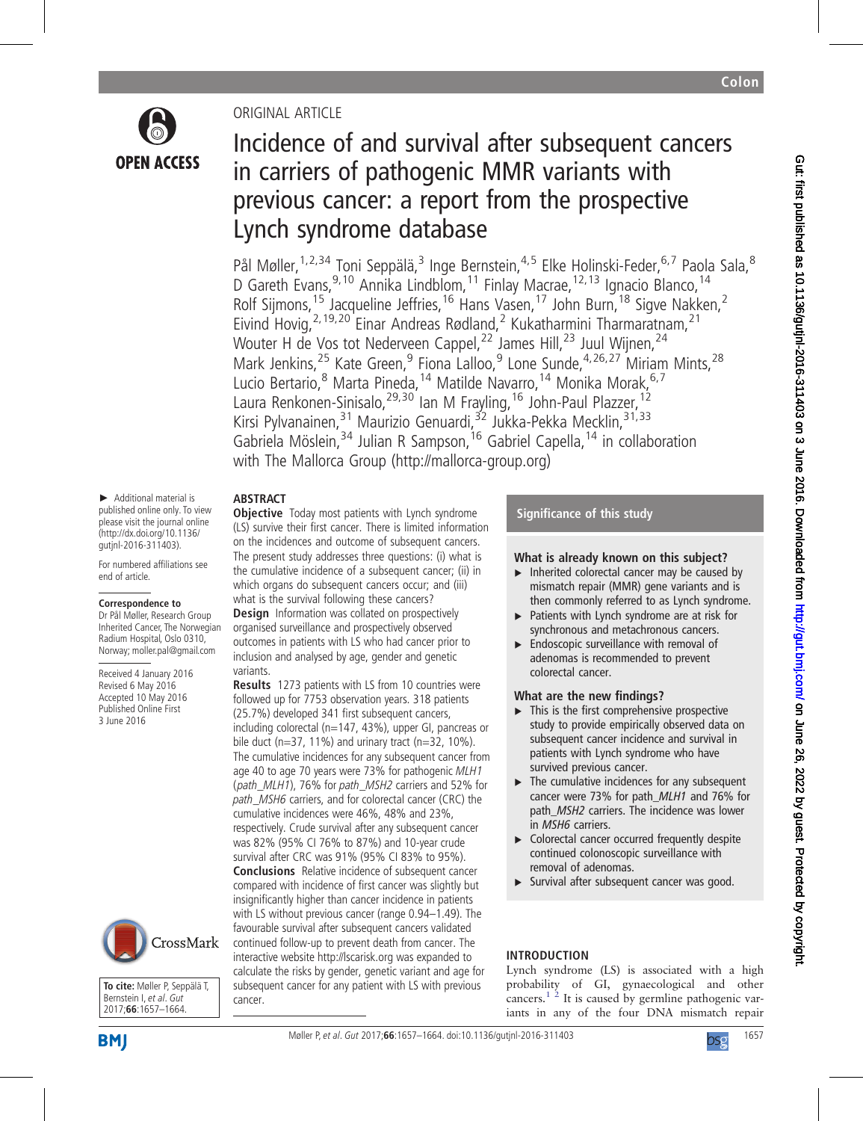

# ORIGINAL ARTICLE

# Incidence of and survival after subsequent cancers in carriers of pathogenic MMR variants with previous cancer: a report from the prospective Lynch syndrome database

Pål Møller,<sup>1,2,34</sup> Toni Seppälä,<sup>3</sup> Inge Bernstein,<sup>4,5</sup> Elke Holinski-Feder,<sup>6,7</sup> Paola Sala,<sup>8</sup> D Gareth Evans, <sup>9, 10</sup> Annika Lindblom, <sup>11</sup> Finlay Macrae, <sup>12, 13</sup> Ignacio Blanco, <sup>14</sup> Rolf Sijmons,<sup>15</sup> Jacqueline Jeffries,<sup>16</sup> Hans Vasen,<sup>17</sup> John Burn,<sup>18</sup> Sigve Nakken,<sup>2</sup> Eivind Hovig,  $2,19,20$  Einar Andreas Rødland, <sup>2</sup> Kukatharmini Tharmaratnam,  $21$ Wouter H de Vos tot Nederveen Cappel,<sup>22</sup> James Hill,<sup>23</sup> Juul Wijnen,<sup>24</sup> Mark Jenkins,  $2^5$  Kate Green,  $9$  Fiona Lalloo,  $9^9$  Lone Sunde,  $4^7$ ,  $2^6$ ,  $2^7$  Miriam Mints,  $2^8$ Lucio Bertario, <sup>8</sup> Marta Pineda, <sup>14</sup> Matilde Navarro, <sup>14</sup> Monika Morak, <sup>6,7</sup> Laura Renkonen-Sinisalo, <sup>29,30</sup> Ian M Frayling, <sup>16</sup> John-Paul Plazzer, <sup>12</sup> Kirsi Pylvanainen, <sup>31</sup> Maurizio Genuardi, <sup>32</sup> Jukka-Pekka Mecklin, <sup>31, 33</sup> Gabriela Möslein,<sup>34</sup> Julian R Sampson,<sup>16</sup> Gabriel Capella,<sup>14</sup> in collaboration with The Mallorca Group [\(http://mallorca-group.org](http://mallorca-group.org))

#### ABSTRACT **Objective** Today most patients with Lynch syndrome

variants.

► Additional material is published online only. To view please visit the journal online (http://dx.doi.org/10.1136/ gutjnl-2016-311403).

For numbered affiliations see end of article.

#### **Correspondence to**

Dr Pål Møller, Research Group Inherited Cancer, The Norwegian Radium Hospital, Oslo 0310, Norway; moller.pal@gmail.com

Received 4 January 2016 Revised 6 May 2016 Accepted 10 May 2016 Published Online First 3 June 2016



**To cite:** Møller P, Seppälä T, Bernstein I, et al. Gut 2017;**66**:1657–1664.

**BMI** 

cumulative incidences were 46%, 48% and 23%, respectively. Crude survival after any subsequent cancer was 82% (95% CI 76% to 87%) and 10-year crude survival after CRC was 91% (95% CI 83% to 95%).

Conclusions Relative incidence of subsequent cancer compared with incidence of first cancer was slightly but insignificantly higher than cancer incidence in patients with LS without previous cancer (range 0.94–1.49). The favourable survival after subsequent cancers validated continued follow-up to prevent death from cancer. The interactive website<http://lscarisk.org> was expanded to calculate the risks by gender, genetic variant and age for subsequent cancer for any patient with LS with previous cancer.

(LS) survive their first cancer. There is limited information on the incidences and outcome of subsequent cancers. The present study addresses three questions: (i) what is the cumulative incidence of a subsequent cancer; (ii) in which organs do subsequent cancers occur; and (iii) what is the survival following these cancers? **Design** Information was collated on prospectively organised surveillance and prospectively observed outcomes in patients with LS who had cancer prior to inclusion and analysed by age, gender and genetic

Results 1273 patients with LS from 10 countries were followed up for 7753 observation years. 318 patients (25.7%) developed 341 first subsequent cancers, including colorectal (n=147, 43%), upper GI, pancreas or bile duct ( $n=37$ , 11%) and urinary tract ( $n=32$ , 10%). The cumulative incidences for any subsequent cancer from age 40 to age 70 years were 73% for pathogenic MLH1 (path\_MLH1), 76% for path\_MSH2 carriers and 52% for path\_MSH6 carriers, and for colorectal cancer (CRC) the

# Significance of this study

# What is already known on this subject?

- $\triangleright$  Inherited colorectal cancer may be caused by mismatch repair (MMR) gene variants and is then commonly referred to as Lynch syndrome.
- ▶ Patients with Lynch syndrome are at risk for synchronous and metachronous cancers.
- $\blacktriangleright$  Endoscopic surveillance with removal of adenomas is recommended to prevent colorectal cancer.

## What are the new findings?

- $\blacktriangleright$  This is the first comprehensive prospective study to provide empirically observed data on subsequent cancer incidence and survival in patients with Lynch syndrome who have survived previous cancer.
- $\blacktriangleright$  The cumulative incidences for any subsequent cancer were 73% for path\_MLH1 and 76% for path MSH2 carriers. The incidence was lower in MSH6 carriers.
- ▶ Colorectal cancer occurred frequently despite continued colonoscopic surveillance with removal of adenomas.
- Survival after subsequent cancer was good.

# INTRODUCTION

Lynch syndrome (LS) is associated with a high probability of GI, gynaecological and other cancers.<sup>1  $\frac{2}{x}$ </sup> It is caused by germline pathogenic variants in any of the four DNA mismatch repair

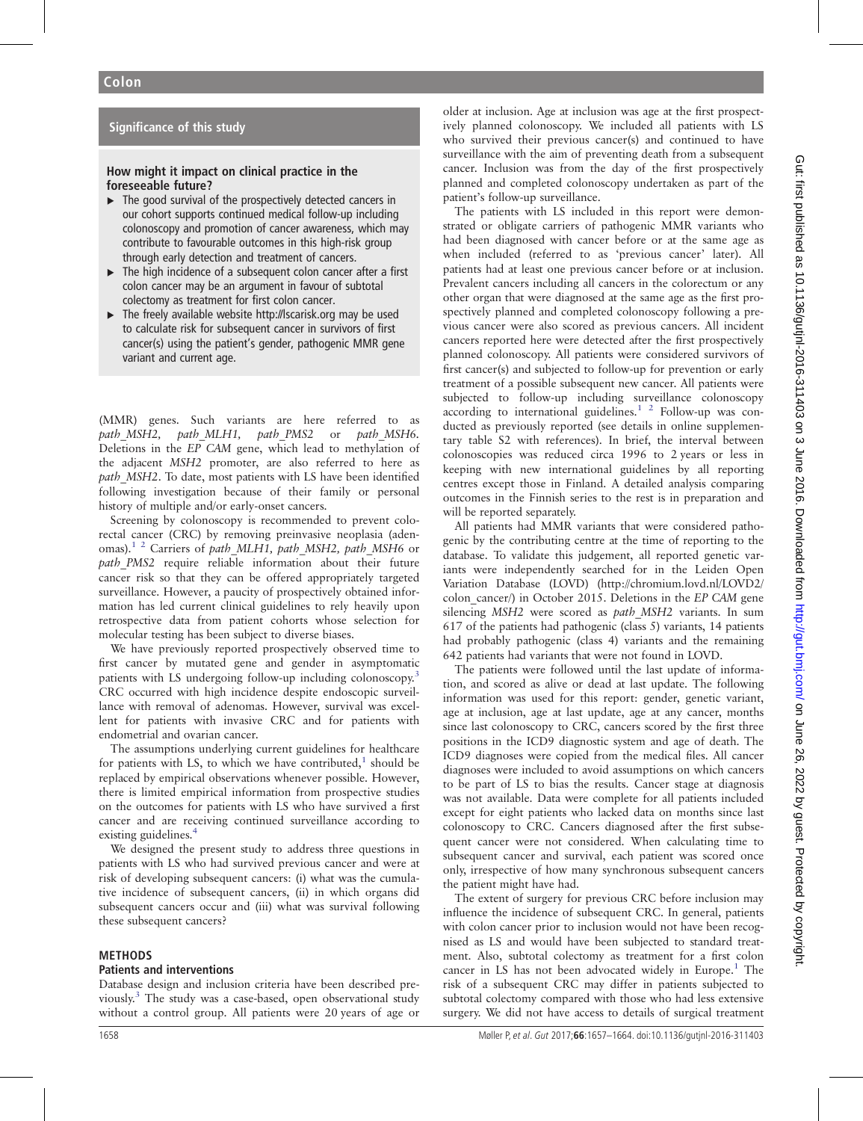## Significance of this study

## How might it impact on clinical practice in the foreseeable future?

- $\blacktriangleright$  The good survival of the prospectively detected cancers in our cohort supports continued medical follow-up including colonoscopy and promotion of cancer awareness, which may contribute to favourable outcomes in this high-risk group through early detection and treatment of cancers.
- ▸ The high incidence of a subsequent colon cancer after a first colon cancer may be an argument in favour of subtotal colectomy as treatment for first colon cancer.
- ▶ The freely available website<http://lscarisk.org> may be used to calculate risk for subsequent cancer in survivors of first cancer(s) using the patient's gender, pathogenic MMR gene variant and current age.

(MMR) genes. Such variants are here referred to as path MSH2, path MLH1, path PMS2 or path MSH6. Deletions in the EP CAM gene, which lead to methylation of the adjacent MSH2 promoter, are also referred to here as path MSH2. To date, most patients with LS have been identified following investigation because of their family or personal history of multiple and/or early-onset cancers.

Screening by colonoscopy is recommended to prevent colorectal cancer (CRC) by removing preinvasive neoplasia (aden-omas).<sup>[1 2](#page-7-0)</sup> Carriers of path MLH1, path MSH2, path MSH6 or path PMS2 require reliable information about their future cancer risk so that they can be offered appropriately targeted surveillance. However, a paucity of prospectively obtained information has led current clinical guidelines to rely heavily upon retrospective data from patient cohorts whose selection for molecular testing has been subject to diverse biases.

We have previously reported prospectively observed time to first cancer by mutated gene and gender in asymptomatic patients with LS undergoing follow-up including colonoscopy.<sup>[3](#page-7-0)</sup> CRC occurred with high incidence despite endoscopic surveillance with removal of adenomas. However, survival was excellent for patients with invasive CRC and for patients with endometrial and ovarian cancer.

The assumptions underlying current guidelines for healthcare for patients with LS, to which we have contributed, $<sup>1</sup>$  should be</sup> replaced by empirical observations whenever possible. However, there is limited empirical information from prospective studies on the outcomes for patients with LS who have survived a first cancer and are receiving continued surveillance according to existing guidelines.<sup>4</sup>

We designed the present study to address three questions in patients with LS who had survived previous cancer and were at risk of developing subsequent cancers: (i) what was the cumulative incidence of subsequent cancers, (ii) in which organs did subsequent cancers occur and (iii) what was survival following these subsequent cancers?

#### METHODS

#### Patients and interventions

Database design and inclusion criteria have been described previously.[3](#page-7-0) The study was a case-based, open observational study without a control group. All patients were 20 years of age or older at inclusion. Age at inclusion was age at the first prospectively planned colonoscopy. We included all patients with LS who survived their previous cancer(s) and continued to have surveillance with the aim of preventing death from a subsequent cancer. Inclusion was from the day of the first prospectively planned and completed colonoscopy undertaken as part of the patient's follow-up surveillance.

The patients with LS included in this report were demonstrated or obligate carriers of pathogenic MMR variants who had been diagnosed with cancer before or at the same age as when included (referred to as 'previous cancer' later). All patients had at least one previous cancer before or at inclusion. Prevalent cancers including all cancers in the colorectum or any other organ that were diagnosed at the same age as the first prospectively planned and completed colonoscopy following a previous cancer were also scored as previous cancers. All incident cancers reported here were detected after the first prospectively planned colonoscopy. All patients were considered survivors of first cancer(s) and subjected to follow-up for prevention or early treatment of a possible subsequent new cancer. All patients were subjected to follow-up including surveillance colonoscopy according to international guidelines.<sup>1</sup> <sup>2</sup> Follow-up was conducted as previously reported (see details in online supplementary table S2 with references). In brief, the interval between colonoscopies was reduced circa 1996 to 2 years or less in keeping with new international guidelines by all reporting centres except those in Finland. A detailed analysis comparing outcomes in the Finnish series to the rest is in preparation and will be reported separately.

All patients had MMR variants that were considered pathogenic by the contributing centre at the time of reporting to the database. To validate this judgement, all reported genetic variants were independently searched for in the Leiden Open Variation Database (LOVD) [\(http://chromium.lovd.nl/LOVD2/](http://chromium.lovd.nl/LOVD2/colon_cancer/) colon cancer/) in October 2015. Deletions in the EP CAM gene silencing MSH2 were scored as path MSH2 variants. In sum 617 of the patients had pathogenic (class 5) variants, 14 patients had probably pathogenic (class 4) variants and the remaining 642 patients had variants that were not found in LOVD.

The patients were followed until the last update of information, and scored as alive or dead at last update. The following information was used for this report: gender, genetic variant, age at inclusion, age at last update, age at any cancer, months since last colonoscopy to CRC, cancers scored by the first three positions in the ICD9 diagnostic system and age of death. The ICD9 diagnoses were copied from the medical files. All cancer diagnoses were included to avoid assumptions on which cancers to be part of LS to bias the results. Cancer stage at diagnosis was not available. Data were complete for all patients included except for eight patients who lacked data on months since last colonoscopy to CRC. Cancers diagnosed after the first subsequent cancer were not considered. When calculating time to subsequent cancer and survival, each patient was scored once only, irrespective of how many synchronous subsequent cancers the patient might have had.

The extent of surgery for previous CRC before inclusion may influence the incidence of subsequent CRC. In general, patients with colon cancer prior to inclusion would not have been recognised as LS and would have been subjected to standard treatment. Also, subtotal colectomy as treatment for a first colon cancer in LS has not been advocated widely in Europe.<sup>1</sup> The risk of a subsequent CRC may differ in patients subjected to subtotal colectomy compared with those who had less extensive surgery. We did not have access to details of surgical treatment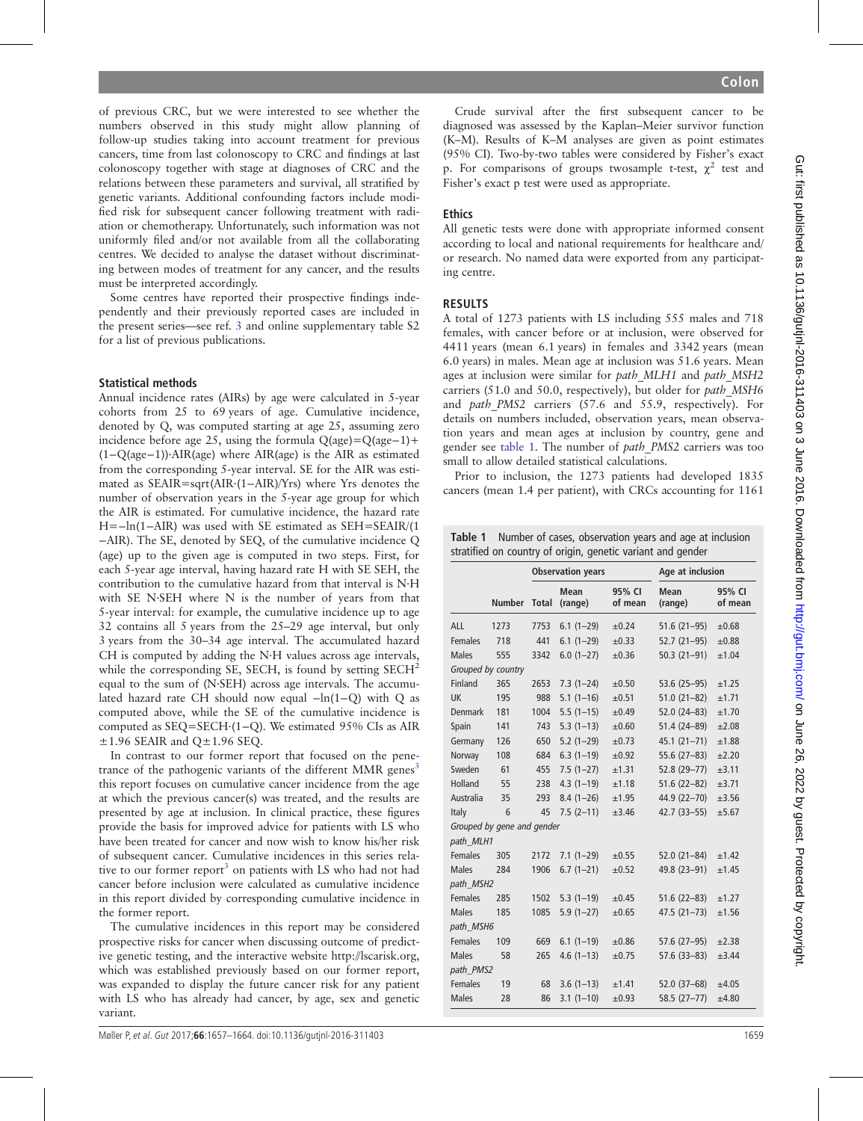of previous CRC, but we were interested to see whether the numbers observed in this study might allow planning of follow-up studies taking into account treatment for previous cancers, time from last colonoscopy to CRC and findings at last colonoscopy together with stage at diagnoses of CRC and the relations between these parameters and survival, all stratified by genetic variants. Additional confounding factors include modified risk for subsequent cancer following treatment with radiation or chemotherapy. Unfortunately, such information was not uniformly filed and/or not available from all the collaborating centres. We decided to analyse the dataset without discriminating between modes of treatment for any cancer, and the results must be interpreted accordingly.

Some centres have reported their prospective findings independently and their previously reported cases are included in the present series—see ref. [3](#page-7-0) and online supplementary table S2 for a list of previous publications.

#### Statistical methods

Annual incidence rates (AIRs) by age were calculated in 5-year cohorts from 25 to 69 years of age. Cumulative incidence, denoted by Q, was computed starting at age 25, assuming zero incidence before age 25, using the formula Q(age)=Q(age−1)+ (1−Q(age−1))·AIR(age) where AIR(age) is the AIR as estimated from the corresponding 5-year interval. SE for the AIR was estimated as SEAIR=sqrt(AIR·(1−AIR)/Yrs) where Yrs denotes the number of observation years in the 5-year age group for which the AIR is estimated. For cumulative incidence, the hazard rate H=−ln(1−AIR) was used with SE estimated as SEH=SEAIR/(1 −AIR). The SE, denoted by SEQ, of the cumulative incidence Q (age) up to the given age is computed in two steps. First, for each 5-year age interval, having hazard rate H with SE SEH, the contribution to the cumulative hazard from that interval is N·H with SE N·SEH where N is the number of years from that 5-year interval: for example, the cumulative incidence up to age 32 contains all 5 years from the 25–29 age interval, but only 3 years from the 30–34 age interval. The accumulated hazard CH is computed by adding the N·H values across age intervals, while the corresponding SE, SECH, is found by setting SECH<sup>2</sup> equal to the sum of (N·SEH) across age intervals. The accumulated hazard rate CH should now equal −ln(1−Q) with Q as computed above, while the SE of the cumulative incidence is computed as SEQ=SECH·(1−Q). We estimated 95% CIs as AIR  $\pm$ 1.96 SEAIR and Q $\pm$ 1.96 SEQ.

In contrast to our former report that focused on the penetrance of the pathogenic variants of the different MMR genes<sup>3</sup> this report focuses on cumulative cancer incidence from the age at which the previous cancer(s) was treated, and the results are presented by age at inclusion. In clinical practice, these figures provide the basis for improved advice for patients with LS who have been treated for cancer and now wish to know his/her risk of subsequent cancer. Cumulative incidences in this series relative to our former report<sup>3</sup> on patients with LS who had not had cancer before inclusion were calculated as cumulative incidence in this report divided by corresponding cumulative incidence in the former report.

The cumulative incidences in this report may be considered prospective risks for cancer when discussing outcome of predictive genetic testing, and the interactive website<http://lscarisk.org>, which was established previously based on our former report, was expanded to display the future cancer risk for any patient with LS who has already had cancer, by age, sex and genetic variant.

Crude survival after the first subsequent cancer to be diagnosed was assessed by the Kaplan–Meier survivor function (K–M). Results of K–M analyses are given as point estimates (95% CI). Two-by-two tables were considered by Fisher's exact p. For comparisons of groups twosample t-test,  $\chi^2$  test and Fisher's exact p test were used as appropriate.

### Ethics

All genetic tests were done with appropriate informed consent according to local and national requirements for healthcare and/ or research. No named data were exported from any participating centre.

#### RESULTS

A total of 1273 patients with LS including 555 males and 718 females, with cancer before or at inclusion, were observed for 4411 years (mean 6.1 years) in females and 3342 years (mean 6.0 years) in males. Mean age at inclusion was 51.6 years. Mean ages at inclusion were similar for path MLH1 and path MSH2 carriers (51.0 and 50.0, respectively), but older for path\_MSH6 and *path PMS2* carriers (57.6 and 55.9, respectively). For details on numbers included, observation years, mean observation years and mean ages at inclusion by country, gene and gender see table 1. The number of path\_PMS2 carriers was too small to allow detailed statistical calculations.

Prior to inclusion, the 1273 patients had developed 1835 cancers (mean 1.4 per patient), with CRCs accounting for 1161

Table 1 Number of cases, observation years and age at inclusion stratified on country of origin, genetic variant and gender

|                |                            |              | <b>Observation years</b> |                   | Age at inclusion |                   |
|----------------|----------------------------|--------------|--------------------------|-------------------|------------------|-------------------|
|                | <b>Number</b>              | <b>Total</b> | Mean<br>(range)          | 95% CI<br>of mean | Mean<br>(range)  | 95% CI<br>of mean |
| ALL            | 1273                       | 7753         | $6.1(1-29)$              | $\pm 0.24$        | $51.6(21-95)$    | $\pm 0.68$        |
| <b>Females</b> | 718                        | 441          | $6.1(1-29)$              | $\pm 0.33$        | $52.7(21-95)$    | $\pm 0.88$        |
| Males          | 555                        | 3342         | $6.0(1-27)$              | $\pm 0.36$        | $50.3(21-91)$    | ±1.04             |
|                | Grouped by country         |              |                          |                   |                  |                   |
| Finland        | 365                        | 2653         | $7.3(1-24)$              | $\pm 0.50$        | 53.6 (25-95)     | ±1.25             |
| UK             | 195                        | 988          | $5.1(1-16)$              | $\pm 0.51$        | $51.0(21-82)$    | ±1.71             |
| Denmark        | 181                        | 1004         | $5.5(1-15)$              | $\pm 0.49$        | $52.0(24-83)$    | ±1.70             |
| Spain          | 141                        | 743          | $5.3(1-13)$              | $\pm 0.60$        | $51.4(24-89)$    | ±2.08             |
| Germany        | 126                        | 650          | $5.2(1-29)$              | $\pm 0.73$        | $45.1(21 - 71)$  | ±1.88             |
| Norway         | 108                        | 684          | $6.3(1-19)$              | $\pm 0.92$        | $55.6(27-83)$    | ±2.20             |
| Sweden         | 61                         | 455          | $7.5(1-27)$              | ±1.31             | 52.8 (29-77)     | ±3.11             |
| Holland        | 55                         | 238          | $4.3(1 - 19)$            | ±1.18             | $51.6(22-82)$    | ±3.71             |
| Australia      | 35                         | 293          | $8.4(1-26)$              | ±1.95             | $44.9(22 - 70)$  | ±3.56             |
| Italy          | 6                          | 45           | $7.5(2-11)$              | ±3.46             | $42.7(33 - 55)$  | ±5.67             |
| path MLH1      | Grouped by gene and gender |              |                          |                   |                  |                   |
| <b>Females</b> | 305                        | 2172         | $7.1(1-29)$              | $\pm 0.55$        | $52.0(21-84)$    | ±1.42             |
| <b>Males</b>   | 284                        | 1906         | $6.7(1-21)$              | $\pm 0.52$        | 49.8 (23-91)     | ±1.45             |
| path MSH2      |                            |              |                          |                   |                  |                   |
| <b>Females</b> | 285                        | 1502         | $5.3(1-19)$              | $\pm 0.45$        | $51.6(22-83)$    | ±1.27             |
| <b>Males</b>   | 185                        | 1085         | $5.9(1-27)$              | $\pm 0.65$        | $47.5(21 - 73)$  | ±1.56             |
| path MSH6      |                            |              |                          |                   |                  |                   |
| <b>Females</b> | 109                        | 669          | $6.1(1-19)$              | ±0.86             | $57.6(27-95)$    | ±2.38             |
| <b>Males</b>   | 58                         | 265          | $4.6(1-13)$              | $\pm 0.75$        | 57.6 (33-83)     | ±3.44             |
| path PMS2      |                            |              |                          |                   |                  |                   |
| <b>Females</b> | 19                         | 68           | $3.6(1-13)$              | ±1.41             | 52.0 (37-68)     | ±4.05             |
| <b>Males</b>   | 28                         | 86           | $3.1(1-10)$              | $\pm 0.93$        | $58.5(27-77)$    | ±4.80             |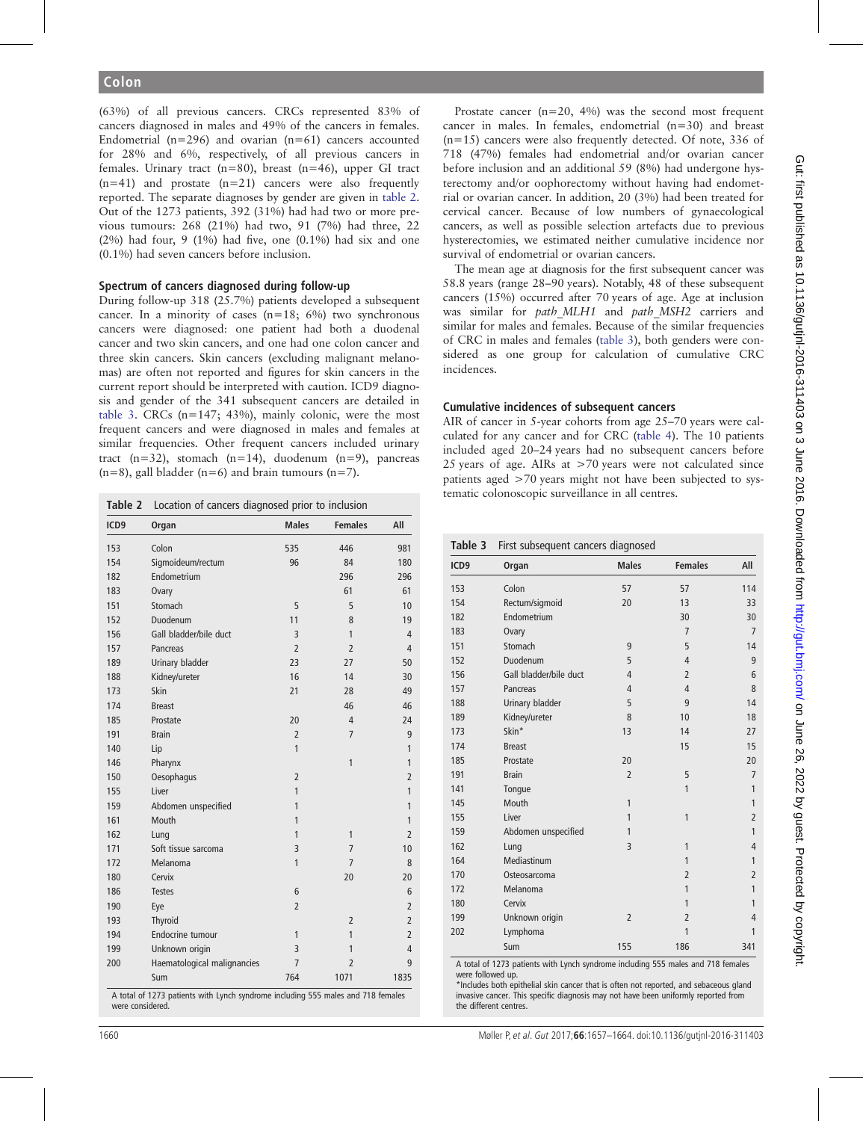(63%) of all previous cancers. CRCs represented 83% of cancers diagnosed in males and 49% of the cancers in females. Endometrial ( $n=296$ ) and ovarian ( $n=61$ ) cancers accounted for 28% and 6%, respectively, of all previous cancers in females. Urinary tract (n=80), breast (n=46), upper GI tract  $(n=41)$  and prostate  $(n=21)$  cancers were also frequently reported. The separate diagnoses by gender are given in table 2. Out of the 1273 patients, 392 (31%) had had two or more previous tumours: 268 (21%) had two, 91 (7%) had three, 22  $(2\%)$  had four, 9  $(1\%)$  had five, one  $(0.1\%)$  had six and one (0.1%) had seven cancers before inclusion.

## Spectrum of cancers diagnosed during follow-up

During follow-up 318 (25.7%) patients developed a subsequent cancer. In a minority of cases  $(n=18; 6%)$  two synchronous cancers were diagnosed: one patient had both a duodenal cancer and two skin cancers, and one had one colon cancer and three skin cancers. Skin cancers (excluding malignant melanomas) are often not reported and figures for skin cancers in the current report should be interpreted with caution. ICD9 diagnosis and gender of the 341 subsequent cancers are detailed in table 3. CRCs  $(n=147; 43%)$ , mainly colonic, were the most frequent cancers and were diagnosed in males and females at similar frequencies. Other frequent cancers included urinary tract  $(n=32)$ , stomach  $(n=14)$ , duodenum  $(n=9)$ , pancreas  $(n=8)$ , gall bladder  $(n=6)$  and brain tumours  $(n=7)$ .

|                  | Location of cancers diagnosed prior to inclusion |                |                |                |  |  |  |
|------------------|--------------------------------------------------|----------------|----------------|----------------|--|--|--|
| ICD <sub>9</sub> | Organ                                            | <b>Males</b>   | <b>Females</b> | All            |  |  |  |
| 153              | Colon                                            | 535            | 446            | 981            |  |  |  |
| 154              | Sigmoideum/rectum                                | 96             | 84             | 180            |  |  |  |
| 182              | Endometrium                                      |                | 296            | 296            |  |  |  |
| 183              | Ovary                                            |                | 61             | 61             |  |  |  |
| 151              | Stomach                                          | 5              | 5              | 10             |  |  |  |
| 152              | Duodenum                                         | 11             | 8              | 19             |  |  |  |
| 156              | Gall bladder/bile duct                           | 3              | 1              | 4              |  |  |  |
| 157              | Pancreas                                         | $\overline{2}$ | $\overline{2}$ | 4              |  |  |  |
| 189              | Urinary bladder                                  | 23             | 27             | 50             |  |  |  |
| 188              | Kidney/ureter                                    | 16             | 14             | 30             |  |  |  |
| 173              | Skin                                             | 21             | 28             | 49             |  |  |  |
| 174              | <b>Breast</b>                                    |                | 46             | 46             |  |  |  |
| 185              | Prostate                                         | 20             | 4              | 24             |  |  |  |
| 191              | <b>Brain</b>                                     | $\overline{2}$ | $\overline{7}$ | 9              |  |  |  |
| 140              | Lip                                              | 1              |                | 1              |  |  |  |
| 146              | Pharynx                                          |                | 1              | 1              |  |  |  |
| 150              | Oesophagus                                       | $\overline{2}$ |                | $\overline{2}$ |  |  |  |
| 155              | Liver                                            | 1              |                | 1              |  |  |  |
| 159              | Abdomen unspecified                              | 1              |                | 1              |  |  |  |
| 161              | Mouth                                            | 1              |                | 1              |  |  |  |
| 162              | Lung                                             | 1              | $\mathbf{1}$   | $\overline{2}$ |  |  |  |
| 171              | Soft tissue sarcoma                              | 3              | $\overline{7}$ | 10             |  |  |  |
| 172              | Melanoma                                         | 1              | $\overline{7}$ | 8              |  |  |  |
| 180              | Cervix                                           |                | 20             | 20             |  |  |  |
| 186              | <b>Testes</b>                                    | 6              |                | 6              |  |  |  |
| 190              | Eye                                              | $\overline{2}$ |                | $\overline{2}$ |  |  |  |
| 193              | Thyroid                                          |                | $\overline{2}$ | $\overline{2}$ |  |  |  |
| 194              | Endocrine tumour                                 | 1              | 1              | $\overline{2}$ |  |  |  |
| 199              | Unknown origin                                   | 3              | 1              | 4              |  |  |  |
| 200              | Haematological malignancies                      | $\overline{7}$ | $\overline{2}$ | 9              |  |  |  |
|                  | Sum                                              | 764            | 1071           | 1835           |  |  |  |

A total of 1273 patients with Lynch syndrome including 555 males and 718 females were considered.

Prostate cancer  $(n=20, 4\%)$  was the second most frequent cancer in males. In females, endometrial (n=30) and breast (n=15) cancers were also frequently detected. Of note, 336 of 718 (47%) females had endometrial and/or ovarian cancer before inclusion and an additional 59 (8%) had undergone hysterectomy and/or oophorectomy without having had endometrial or ovarian cancer. In addition, 20 (3%) had been treated for cervical cancer. Because of low numbers of gynaecological cancers, as well as possible selection artefacts due to previous hysterectomies, we estimated neither cumulative incidence nor survival of endometrial or ovarian cancers.

The mean age at diagnosis for the first subsequent cancer was 58.8 years (range 28–90 years). Notably, 48 of these subsequent cancers (15%) occurred after 70 years of age. Age at inclusion was similar for path MLH1 and path MSH2 carriers and similar for males and females. Because of the similar frequencies of CRC in males and females (table 3), both genders were considered as one group for calculation of cumulative CRC incidences.

#### Cumulative incidences of subsequent cancers

AIR of cancer in 5-year cohorts from age 25–70 years were calculated for any cancer and for CRC ([table 4\)](#page-4-0). The 10 patients included aged 20–24 years had no subsequent cancers before 25 years of age. AIRs at >70 years were not calculated since patients aged >70 years might not have been subjected to systematic colonoscopic surveillance in all centres.

| ICD <sub>9</sub> | Organ                  | <b>Males</b>   | <b>Females</b> | All            |
|------------------|------------------------|----------------|----------------|----------------|
| 153              | Colon                  | 57             | 57             | 114            |
| 154              | Rectum/sigmoid         | 20             | 13             | 33             |
| 182              | Endometrium            |                | 30             | 30             |
| 183              | Ovary                  |                | $\overline{7}$ | $\overline{7}$ |
| 151              | Stomach                | 9              | 5              | 14             |
| 152              | Duodenum               | 5              | 4              | 9              |
| 156              | Gall bladder/bile duct | 4              | $\overline{2}$ | 6              |
| 157              | Pancreas               | 4              | 4              | 8              |
| 188              | Urinary bladder        | 5              | 9              | 14             |
| 189              | Kidney/ureter          | 8              | 10             | 18             |
| 173              | Skin*                  | 13             | 14             | 27             |
| 174              | <b>Breast</b>          |                | 15             | 15             |
| 185              | Prostate               | 20             |                | 20             |
| 191              | <b>Brain</b>           | $\overline{2}$ | 5              | $\overline{7}$ |
| 141              | Tonque                 |                | 1              | 1              |
| 145              | Mouth                  | 1              |                | $\mathbf{1}$   |
| 155              | Liver                  | 1              | 1              | $\overline{c}$ |
| 159              | Abdomen unspecified    | 1              |                | 1              |
| 162              | Lung                   | 3              | 1              | $\overline{4}$ |
| 164              | Mediastinum            |                | 1              | 1              |
| 170              | Osteosarcoma           |                | $\overline{2}$ | $\overline{c}$ |
| 172              | Melanoma               |                | 1              | $\overline{1}$ |
| 180              | Cervix                 |                | 1              | 1              |
| 199              | Unknown origin         | $\overline{2}$ | $\overline{2}$ | $\overline{4}$ |
| 202              | Lymphoma               |                | 1              | $\mathbf{1}$   |
|                  | Sum                    | 155            | 186            | 341            |

A total of 1273 patients with Lynch syndrome including 555 males and 718 females were followed up.

\*Includes both epithelial skin cancer that is often not reported, and sebaceous gland invasive cancer. This specific diagnosis may not have been uniformly reported from the different centres.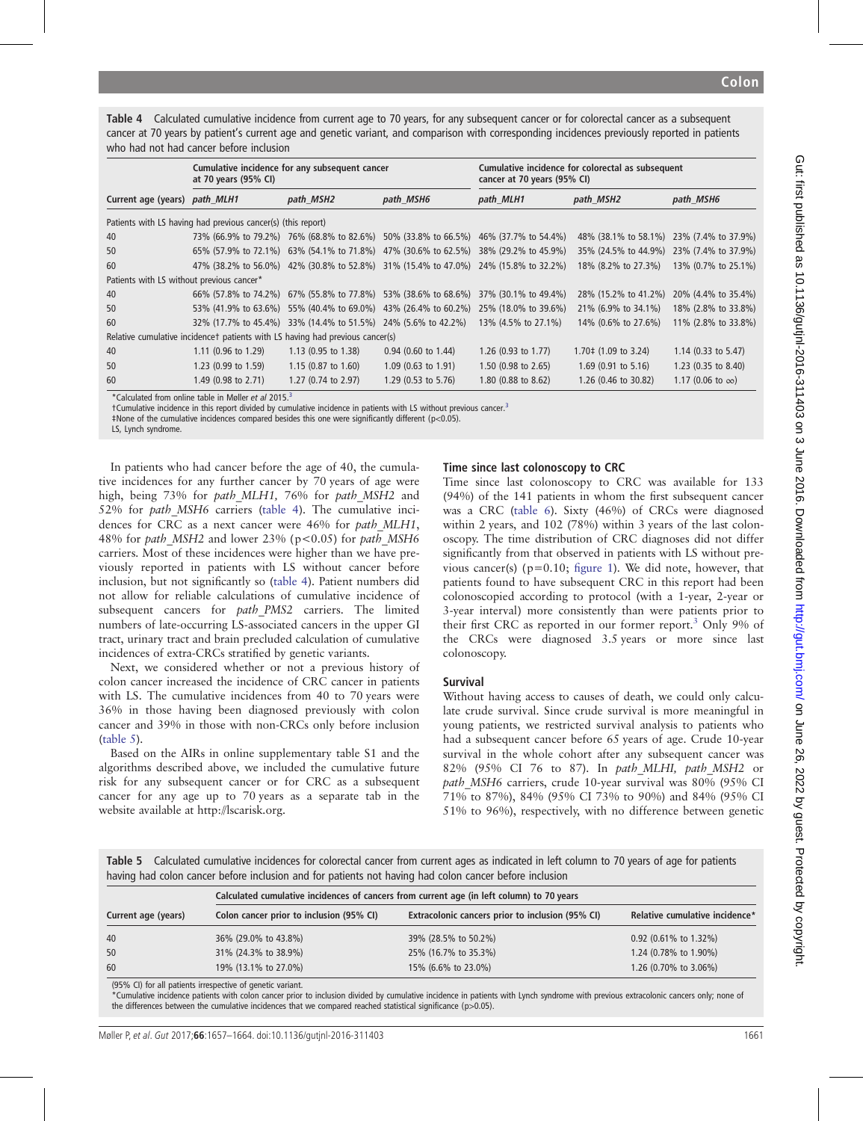<span id="page-4-0"></span>Table 4 Calculated cumulative incidence from current age to 70 years, for any subsequent cancer or for colorectal cancer as a subsequent cancer at 70 years by patient's current age and genetic variant, and comparison with corresponding incidences previously reported in patients who had not had cancer before inclusion

|                                           | at 70 years (95% CI)                                                          | Cumulative incidence for any subsequent cancer                 |                                                                                     | Cumulative incidence for colorectal as subsequent<br>cancer at 70 years (95% CI) |                                  |                          |
|-------------------------------------------|-------------------------------------------------------------------------------|----------------------------------------------------------------|-------------------------------------------------------------------------------------|----------------------------------------------------------------------------------|----------------------------------|--------------------------|
| Current age (years) path_MLH1             |                                                                               | path MSH2                                                      | path MSH6                                                                           | path MLH1                                                                        | path_MSH2                        | path MSH6                |
|                                           | Patients with LS having had previous cancer(s) (this report)                  |                                                                |                                                                                     |                                                                                  |                                  |                          |
| 40                                        |                                                                               |                                                                | 73% (66.9% to 79.2%) 76% (68.8% to 82.6%) 50% (33.8% to 66.5%) 46% (37.7% to 54.4%) |                                                                                  | 48% (38.1% to 58.1%)             | 23% (7.4% to 37.9%)      |
| 50                                        |                                                                               |                                                                | 65% (57.9% to 72.1%) 63% (54.1% to 71.8%) 47% (30.6% to 62.5%)                      | 38% (29.2% to 45.9%)                                                             | 35% (24.5% to 44.9%)             | 23% (7.4% to 37.9%)      |
| 60                                        |                                                                               |                                                                | 47% (38.2% to 56.0%) 42% (30.8% to 52.8%) 31% (15.4% to 47.0%) 24% (15.8% to 32.2%) |                                                                                  | 18% (8.2% to 27.3%)              | 13% (0.7% to 25.1%)      |
| Patients with LS without previous cancer* |                                                                               |                                                                |                                                                                     |                                                                                  |                                  |                          |
| 40                                        |                                                                               | 66% (57.8% to 74.2%) 67% (55.8% to 77.8%) 53% (38.6% to 68.6%) |                                                                                     | 37% (30.1% to 49.4%)                                                             | 28% (15.2% to 41.2%)             | 20% (4.4% to 35.4%)      |
| 50                                        |                                                                               | 53% (41.9% to 63.6%) 55% (40.4% to 69.0%) 43% (26.4% to 60.2%) |                                                                                     | 25% (18.0% to 39.6%)                                                             | 21\% (6.9\% to 34.1\%)           | 18% (2.8% to 33.8%)      |
| 60                                        |                                                                               | 32% (17.7% to 45.4%) 33% (14.4% to 51.5%) 24% (5.6% to 42.2%)  |                                                                                     | 13% (4.5% to 27.1%)                                                              | 14% (0.6% to 27.6%)              | 11% (2.8% to 33.8%)      |
|                                           | Relative cumulative incidencet patients with LS having had previous cancer(s) |                                                                |                                                                                     |                                                                                  |                                  |                          |
| 40                                        | 1.11 (0.96 to 1.29)                                                           | $1.13$ (0.95 to 1.38)                                          | $0.94$ (0.60 to 1.44)                                                               | 1.26 $(0.93$ to 1.77)                                                            | $1.70\pm(1.09 \text{ to } 3.24)$ | 1.14 $(0.33$ to 5.47)    |
| 50                                        | 1.23 (0.99 to 1.59)                                                           | $1.15$ (0.87 to 1.60)                                          | $1.09$ (0.63 to 1.91)                                                               | 1.50 (0.98 to 2.65)                                                              | $1.69$ (0.91 to 5.16)            | 1.23 (0.35 to 8.40)      |
| 60                                        | 1.49 (0.98 to 2.71)                                                           | 1.27 (0.74 to 2.97)                                            | 1.29 (0.53 to 5.76)                                                                 | 1.80 (0.88 to 8.62)                                                              | 1.26 (0.46 to 30.82)             | 1.17 (0.06 to $\infty$ ) |

\*Calculated from [online table](http://dx.doi.org/10.1136/gutjnl-2016-311403) in Møller et al 2015.

†Cumulative incidence in this report divided by cumulative incidence in patients with LS without previous cancer.[3](#page-7-0)

‡None of the cumulative incidences compared besides this one were significantly different (p<0.05).

LS, Lynch syndrome.

In patients who had cancer before the age of 40, the cumulative incidences for any further cancer by 70 years of age were high, being 73% for path MLH1, 76% for path MSH2 and 52% for *path MSH6* carriers (table 4). The cumulative incidences for CRC as a next cancer were 46% for path\_MLH1, 48% for path MSH2 and lower 23% (p<0.05) for path MSH6 carriers. Most of these incidences were higher than we have previously reported in patients with LS without cancer before inclusion, but not significantly so (table 4). Patient numbers did not allow for reliable calculations of cumulative incidence of subsequent cancers for *path PMS2* carriers. The limited numbers of late-occurring LS-associated cancers in the upper GI tract, urinary tract and brain precluded calculation of cumulative incidences of extra-CRCs stratified by genetic variants.

Next, we considered whether or not a previous history of colon cancer increased the incidence of CRC cancer in patients with LS. The cumulative incidences from 40 to 70 years were 36% in those having been diagnosed previously with colon cancer and 39% in those with non-CRCs only before inclusion (table 5).

Based on the AIRs in online supplementary table S1 and the algorithms described above, we included the cumulative future risk for any subsequent cancer or for CRC as a subsequent cancer for any age up to 70 years as a separate tab in the website available at<http://lscarisk.org>.

#### Time since last colonoscopy to CRC

Time since last colonoscopy to CRC was available for 133 (94%) of the 141 patients in whom the first subsequent cancer was a CRC [\(table 6](#page-5-0)). Sixty (46%) of CRCs were diagnosed within 2 years, and 102 (78%) within 3 years of the last colonoscopy. The time distribution of CRC diagnoses did not differ significantly from that observed in patients with LS without previous cancer(s) ( $p=0.10$ ; fi[gure 1\)](#page-5-0). We did note, however, that patients found to have subsequent CRC in this report had been colonoscopied according to protocol (with a 1-year, 2-year or 3-year interval) more consistently than were patients prior to their first CRC as reported in our former report.[3](#page-7-0) Only 9% of the CRCs were diagnosed 3.5 years or more since last colonoscopy.

#### Survival

Without having access to causes of death, we could only calculate crude survival. Since crude survival is more meaningful in young patients, we restricted survival analysis to patients who had a subsequent cancer before 65 years of age. Crude 10-year survival in the whole cohort after any subsequent cancer was 82% (95% CI 76 to 87). In path\_MLHI, path\_MSH2 or path MSH6 carriers, crude 10-year survival was 80% (95% CI 71% to 87%), 84% (95% CI 73% to 90%) and 84% (95% CI 51% to 96%), respectively, with no difference between genetic

Table 5 Calculated cumulative incidences for colorectal cancer from current ages as indicated in left column to 70 years of age for patients having had colon cancer before inclusion and for patients not having had colon cancer before inclusion

|                     | Calculated cumulative incidences of cancers from current age (in left column) to 70 years |                                                  |                                    |  |  |  |
|---------------------|-------------------------------------------------------------------------------------------|--------------------------------------------------|------------------------------------|--|--|--|
| Current age (years) | Colon cancer prior to inclusion (95% CI)                                                  | Extracolonic cancers prior to inclusion (95% CI) | Relative cumulative incidence*     |  |  |  |
| 40                  | 36% (29.0% to 43.8%)                                                                      | 39% (28.5% to 50.2%)                             | $0.92$ (0.61% to 1.32%)            |  |  |  |
| 50                  | 31% (24.3% to 38.9%)                                                                      | 25% (16.7% to 35.3%)                             | 1.24 (0.78% to 1.90%)              |  |  |  |
| 60                  | 19% (13.1% to 27.0%)                                                                      | 15% (6.6% to 23.0%)                              | 1.26 $(0.70\% \text{ to } 3.06\%)$ |  |  |  |

(95% CI) for all patients irrespective of genetic variant.

\*Cumulative incidence patients with colon cancer prior to inclusion divided by cumulative incidence in patients with Lynch syndrome with previous extracolonic cancers only; none of the differences between the cumulative incidences that we compared reached statistical significance (p>0.05).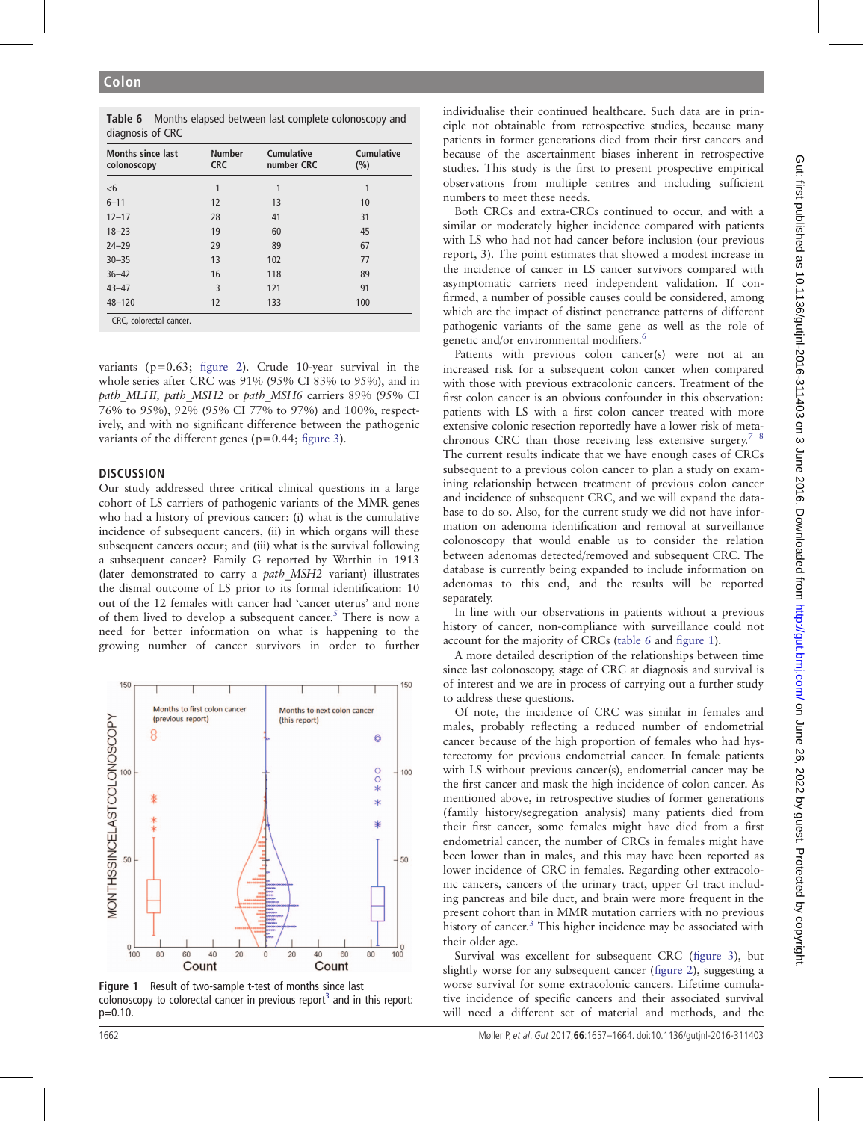<span id="page-5-0"></span>Table 6 Months elapsed between last complete colonoscopy and diagnosis of CRC

| <b>Months since last</b><br>colonoscopy | <b>Number</b><br><b>CRC</b> | <b>Cumulative</b><br>number CRC | <b>Cumulative</b><br>(%) |
|-----------------------------------------|-----------------------------|---------------------------------|--------------------------|
| $<$ 6                                   |                             | 1                               | 1                        |
| $6 - 11$                                | 12                          | 13                              | 10                       |
| $12 - 17$                               | 28                          | 41                              | 31                       |
| $18 - 23$                               | 19                          | 60                              | 45                       |
| $24 - 29$                               | 29                          | 89                              | 67                       |
| $30 - 35$                               | 13                          | 102                             | 77                       |
| $36 - 42$                               | 16                          | 118                             | 89                       |
| $43 - 47$                               | 3                           | 121                             | 91                       |
| $48 - 120$                              | 12                          | 133                             | 100                      |

variants ( $p=0.63$ ; fi[gure 2\)](#page-6-0). Crude 10-year survival in the whole series after CRC was 91% (95% CI 83% to 95%), and in path MLHI, path MSH2 or path MSH6 carriers 89% (95% CI 76% to 95%), 92% (95% CI 77% to 97%) and 100%, respectively, and with no significant difference between the pathogenic variants of the different genes (p=0.44; fi[gure 3](#page-6-0)).

#### **DISCUSSION**

Our study addressed three critical clinical questions in a large cohort of LS carriers of pathogenic variants of the MMR genes who had a history of previous cancer: (i) what is the cumulative incidence of subsequent cancers, (ii) in which organs will these subsequent cancers occur; and (iii) what is the survival following a subsequent cancer? Family G reported by Warthin in 1913 (later demonstrated to carry a *path MSH2* variant) illustrates the dismal outcome of LS prior to its formal identification: 10 out of the 12 females with cancer had 'cancer uterus' and none of them lived to develop a subsequent cancer.<sup>[5](#page-7-0)</sup> There is now a need for better information on what is happening to the growing number of cancer survivors in order to further



Figure 1 Result of two-sample t-test of months since last colonoscopy to colorectal cancer in previous report<sup>3</sup> and in this report: p=0.10.

individualise their continued healthcare. Such data are in principle not obtainable from retrospective studies, because many patients in former generations died from their first cancers and because of the ascertainment biases inherent in retrospective studies. This study is the first to present prospective empirical observations from multiple centres and including sufficient numbers to meet these needs.

Both CRCs and extra-CRCs continued to occur, and with a similar or moderately higher incidence compared with patients with LS who had not had cancer before inclusion (our previous report, 3). The point estimates that showed a modest increase in the incidence of cancer in LS cancer survivors compared with asymptomatic carriers need independent validation. If confirmed, a number of possible causes could be considered, among which are the impact of distinct penetrance patterns of different pathogenic variants of the same gene as well as the role of genetic and/or environmental modifiers.<sup>[6](#page-7-0)</sup>

Patients with previous colon cancer(s) were not at an increased risk for a subsequent colon cancer when compared with those with previous extracolonic cancers. Treatment of the first colon cancer is an obvious confounder in this observation: patients with LS with a first colon cancer treated with more extensive colonic resection reportedly have a lower risk of metachronous CRC than those receiving less extensive surgery.<sup>7</sup> <sup>8</sup> The current results indicate that we have enough cases of CRCs subsequent to a previous colon cancer to plan a study on examining relationship between treatment of previous colon cancer and incidence of subsequent CRC, and we will expand the database to do so. Also, for the current study we did not have information on adenoma identification and removal at surveillance colonoscopy that would enable us to consider the relation between adenomas detected/removed and subsequent CRC. The database is currently being expanded to include information on adenomas to this end, and the results will be reported separately.

In line with our observations in patients without a previous history of cancer, non-compliance with surveillance could not account for the majority of CRCs (table 6 and figure 1).

A more detailed description of the relationships between time since last colonoscopy, stage of CRC at diagnosis and survival is of interest and we are in process of carrying out a further study to address these questions.

Of note, the incidence of CRC was similar in females and males, probably reflecting a reduced number of endometrial cancer because of the high proportion of females who had hysterectomy for previous endometrial cancer. In female patients with LS without previous cancer(s), endometrial cancer may be the first cancer and mask the high incidence of colon cancer. As mentioned above, in retrospective studies of former generations (family history/segregation analysis) many patients died from their first cancer, some females might have died from a first endometrial cancer, the number of CRCs in females might have been lower than in males, and this may have been reported as lower incidence of CRC in females. Regarding other extracolonic cancers, cancers of the urinary tract, upper GI tract including pancreas and bile duct, and brain were more frequent in the present cohort than in MMR mutation carriers with no previous history of cancer.<sup>[3](#page-7-0)</sup> This higher incidence may be associated with their older age.

Survival was excellent for subsequent CRC (fi[gure 3\)](#page-6-0), but slightly worse for any subsequent cancer (fi[gure 2](#page-6-0)), suggesting a worse survival for some extracolonic cancers. Lifetime cumulative incidence of specific cancers and their associated survival will need a different set of material and methods, and the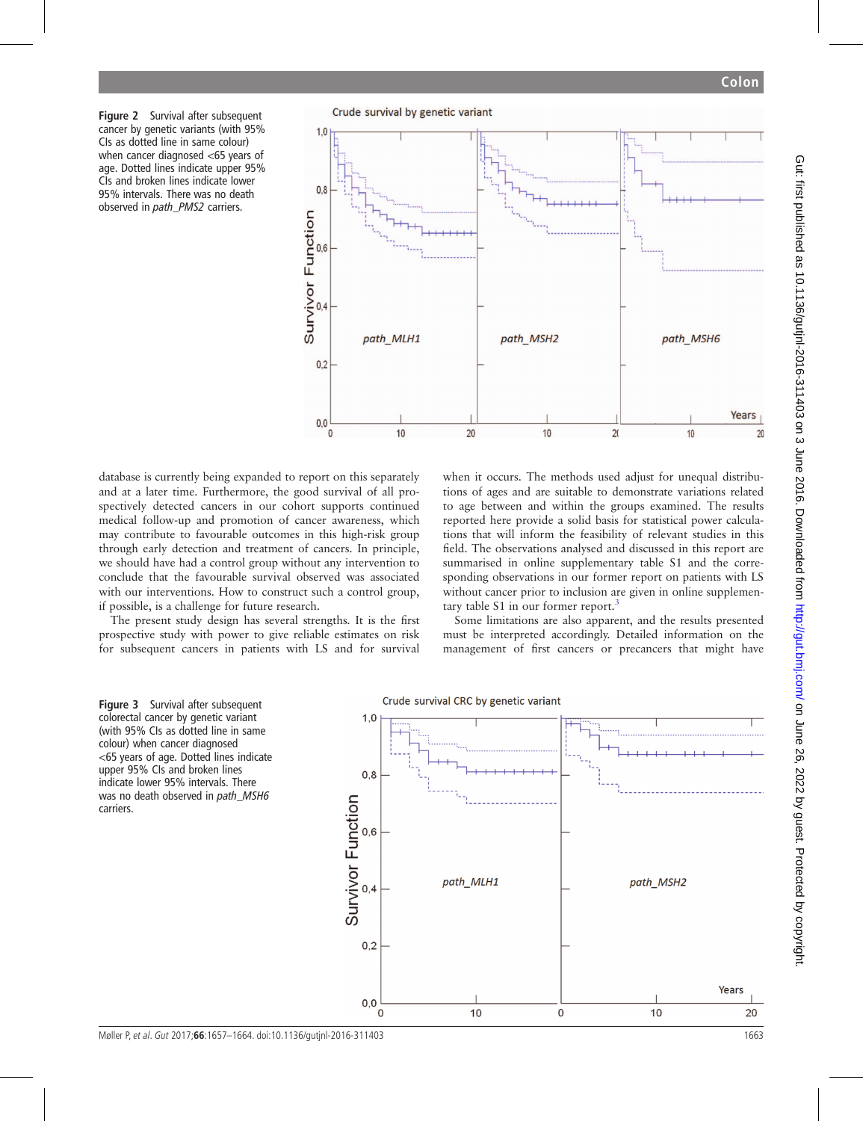<span id="page-6-0"></span>Figure 2 Survival after subsequent cancer by genetic variants (with 95% CIs as dotted line in same colour) when cancer diagnosed <65 years of age. Dotted lines indicate upper 95% CIs and broken lines indicate lower 95% intervals. There was no death observed in *path* PMS2 carriers.

Crude survival by genetic variant



database is currently being expanded to report on this separately and at a later time. Furthermore, the good survival of all prospectively detected cancers in our cohort supports continued medical follow-up and promotion of cancer awareness, which may contribute to favourable outcomes in this high-risk group through early detection and treatment of cancers. In principle, we should have had a control group without any intervention to conclude that the favourable survival observed was associated with our interventions. How to construct such a control group, if possible, is a challenge for future research.

The present study design has several strengths. It is the first prospective study with power to give reliable estimates on risk for subsequent cancers in patients with LS and for survival when it occurs. The methods used adjust for unequal distributions of ages and are suitable to demonstrate variations related to age between and within the groups examined. The results reported here provide a solid basis for statistical power calculations that will inform the feasibility of relevant studies in this field. The observations analysed and discussed in this report are summarised in online supplementary table S1 and the corresponding observations in our former report on patients with LS without cancer prior to inclusion are given in online supplemen-tary table S1 in our former report.<sup>[3](#page-7-0)</sup>

Some limitations are also apparent, and the results presented must be interpreted accordingly. Detailed information on the management of first cancers or precancers that might have





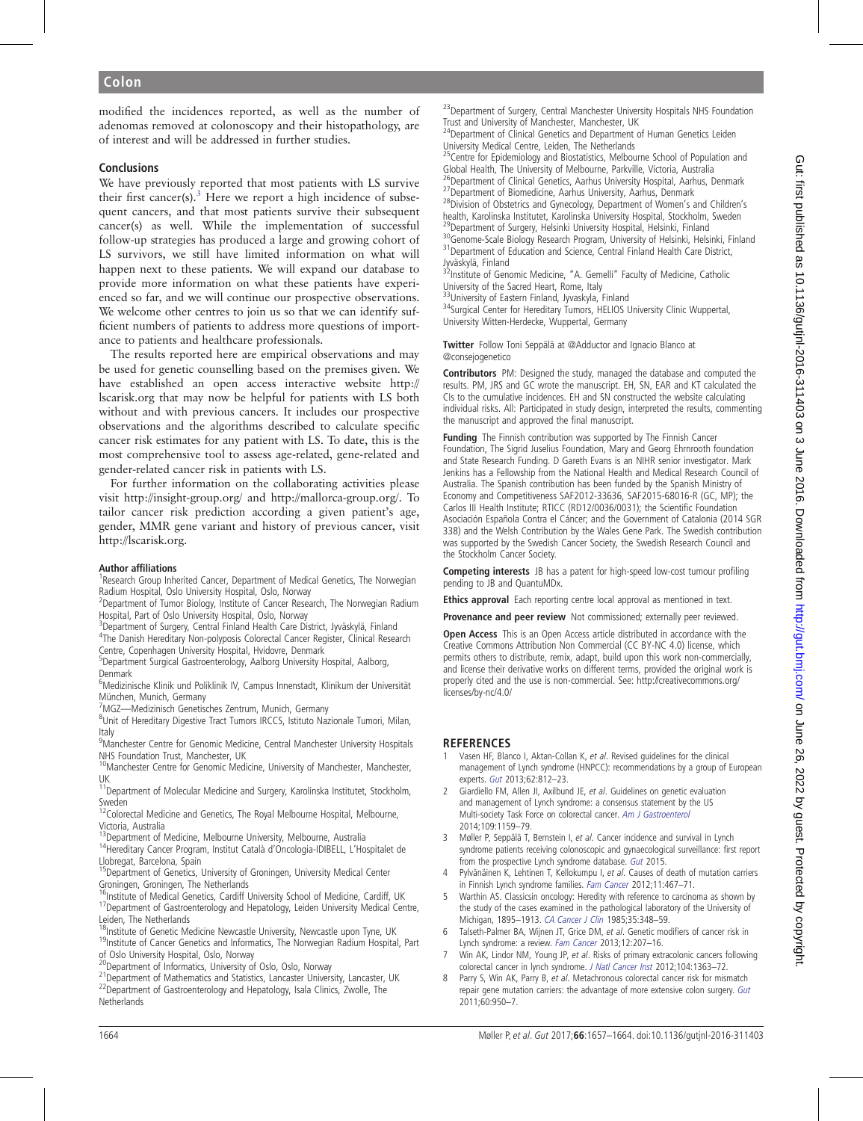<span id="page-7-0"></span>modified the incidences reported, as well as the number of adenomas removed at colonoscopy and their histopathology, are of interest and will be addressed in further studies.

#### **Conclusions**

We have previously reported that most patients with LS survive their first cancer(s). $3$  Here we report a high incidence of subsequent cancers, and that most patients survive their subsequent cancer(s) as well. While the implementation of successful follow-up strategies has produced a large and growing cohort of LS survivors, we still have limited information on what will happen next to these patients. We will expand our database to provide more information on what these patients have experienced so far, and we will continue our prospective observations. We welcome other centres to join us so that we can identify sufficient numbers of patients to address more questions of importance to patients and healthcare professionals.

The results reported here are empirical observations and may be used for genetic counselling based on the premises given. We have established an open access interactive website [http://](http://lscarisk.org) [lscarisk.org](http://lscarisk.org) that may now be helpful for patients with LS both without and with previous cancers. It includes our prospective observations and the algorithms described to calculate specific cancer risk estimates for any patient with LS. To date, this is the most comprehensive tool to assess age-related, gene-related and gender-related cancer risk in patients with LS.

For further information on the collaborating activities please visit<http://insight-group.org/> and [http://mallorca-group.org/.](http://mallorca-group.org/) To tailor cancer risk prediction according a given patient's age, gender, MMR gene variant and history of previous cancer, visit [http://lscarisk.org.](http://lscarisk.org)

#### Author affiliations <sup>1</sup>

<sup>1</sup> Research Group Inherited Cancer, Department of Medical Genetics, The Norwegian Radium Hospital, Oslo University Hospital, Oslo, Norway

<sup>2</sup>Department of Tumor Biology, Institute of Cancer Research, The Norwegian Radium Hospital, Part of Oslo University Hospital, Oslo, Norway

<sup>3</sup> Department of Surgery, Central Finland Health Care District, Jyväskylä, Finland

4 The Danish Hereditary Non-polyposis Colorectal Cancer Register, Clinical Research

Centre, Copenhagen University Hospital, Hvidovre, Denmark

5 Department Surgical Gastroenterology, Aalborg University Hospital, Aalborg, Denmark

<sup>6</sup>Medizinische Klinik und Poliklinik IV, Campus Innenstadt, Klinikum der Universität München, Munich, Germany

<sup>7</sup> MGZ—Medizinisch Genetisches Zentrum, Munich, Germany<br><sup>8</sup> Unit of Hereditary Digestive Tract Tumors IRCCS, Istitute Na

<sup>8</sup>Unit of Hereditary Digestive Tract Tumors IRCCS, Istituto Nazionale Tumori, Milan, Italy

<sup>9</sup> Manchester Centre for Genomic Medicine, Central Manchester University Hospitals NHS Foundation Trust, Manchester, UK

<sup>10</sup>Manchester Centre for Genomic Medicine, University of Manchester, Manchester, UK

 $11$ Department of Molecular Medicine and Surgery, Karolinska Institutet, Stockholm, Sweden

12Colorectal Medicine and Genetics, The Royal Melbourne Hospital, Melbourne, Victoria, Australia<br><sup>13</sup>Department of Medicine, Melbourne University, Melbourne, Australia

<sup>14</sup>Hereditary Cancer Program, Institut Català d'Oncologia-IDIBELL, L'Hospitalet de Llobregat, Barcelona, Spain

<sup>15</sup>Department of Genetics, University of Groningen, University Medical Center

Groningen, Groningen, The Netherlands<br><sup>16</sup>Institute of Medical Genetics, Cardiff University School of Medicine, Cardiff, UK 17 Department of Gastroenterology and Hepatology, Leiden University Medical Centre,

Leiden, The Netherlands<br><sup>18</sup> Institute of Genetic Medicine Newcastle University, Newcastle upon Tyne, UK <sup>19</sup>Institute of Cancer Genetics and Informatics, The Norwegian Radium Hospital, Part

of Oslo University Hospital, Oslo, Norway<br><sup>20</sup>Department of Informatics, University of Oslo, Oslo, Norway

 $^{21}$ Department of Mathematics and Statistics, Lancaster University, Lancaster, UK  $^{22}$ Department of Gastroenterology and Hepatology, Isala Clinics, Zwolle, The Netherlands

<sup>23</sup> Department of Surgery, Central Manchester University Hospitals NHS Foundation Trust and University of Manchester, Manchester, UK

<sup>24</sup>Department of Clinical Genetics and Department of Human Genetics Leiden University Medical Centre, Leiden, The Netherlands

25Centre for Epidemiology and Biostatistics, Melbourne School of Population and Global Health, The University of Melbourne, Parkville, Victoria, Australia<br><sup>26</sup>Department of Clinical Genetics, Aarhus University Hospital, Aarhus, Denmark <sup>27</sup>Department of Biomedicine, Aarhus University, Aarhus, Denmark  $^{28}$ Division of Obstetrics and Gynecology, Department of Women's and Children's

health, Karolinska Institutet, Karolinska University Hospital, Stockholm, Sweden<br><sup>29</sup>Department of Surgery, Helsinki University Hospital, Helsinki, Finland

<sup>30</sup>Genome-Scale Biology Research Program, University of Helsinki, Helsinki, Finland<br><sup>31</sup>Department of Education and Science, Central Finland Health Care District, Jyväskylä, Finland

<sup>32</sup>Institute of Genomic Medicine, "A. Gemelli" Faculty of Medicine, Catholic University of the Sacred Heart, Rome, Italy<br><sup>33</sup>University of Eastern Finland, Jyvaskyla, Finland

<sup>34</sup>Surgical Center for Hereditary Tumors, HELIOS University Clinic Wuppertal, University Witten-Herdecke, Wuppertal, Germany

Twitter Follow Toni Seppälä at [@Adductor](http://twitter.com/Adductor) and Ignacio Blanco at [@consejogenetico](http://twitter.com/consejogenetico)

Contributors PM: Designed the study, managed the database and computed the results. PM, JRS and GC wrote the manuscript. EH, SN, EAR and KT calculated the CIs to the cumulative incidences. EH and SN constructed the website calculating individual risks. All: Participated in study design, interpreted the results, commenting the manuscript and approved the final manuscript.

Fundina The Finnish contribution was supported by The Finnish Cancer Foundation, The Sigrid Juselius Foundation, Mary and Georg Ehrnrooth foundation and State Research Funding. D Gareth Evans is an NIHR senior investigator. Mark Jenkins has a Fellowship from the National Health and Medical Research Council of Australia. The Spanish contribution has been funded by the Spanish Ministry of Economy and Competitiveness SAF2012-33636, SAF2015-68016-R (GC, MP); the Carlos III Health Institute; RTICC (RD12/0036/0031); the Scientific Foundation Asociación Española Contra el Cáncer; and the Government of Catalonia (2014 SGR 338) and the Welsh Contribution by the Wales Gene Park. The Swedish contribution was supported by the Swedish Cancer Society, the Swedish Research Council and the Stockholm Cancer Society.

**Competing interests** JB has a patent for high-speed low-cost tumour profiling pending to JB and QuantuMDx.

Ethics approval Each reporting centre local approval as mentioned in text.

Provenance and peer review Not commissioned; externally peer reviewed.

Open Access This is an Open Access article distributed in accordance with the Creative Commons Attribution Non Commercial (CC BY-NC 4.0) license, which permits others to distribute, remix, adapt, build upon this work non-commercially, and license their derivative works on different terms, provided the original work is properly cited and the use is non-commercial. See: [http://creativecommons.org/](http://creativecommons.org/licenses/by-nc/4.0/) [licenses/by-nc/4.0/](http://creativecommons.org/licenses/by-nc/4.0/)

## **REFERENCES**

- Vasen HF, Blanco I, Aktan-Collan K, et al. Revised guidelines for the clinical management of Lynch syndrome (HNPCC): recommendations by a group of European experts. [Gut](http://dx.doi.org/10.1136/gutjnl-2012-304356) 2013;62:812–23.
- 2 Giardiello FM, Allen JI, Axilbund JE, et al. Guidelines on genetic evaluation and management of Lynch syndrome: a consensus statement by the US Multi-society Task Force on colorectal cancer. [Am J Gastroenterol](http://dx.doi.org/10.1038/ajg.2014.186) 2014;109:1159–79.
- 3 Møller P, Seppälä T, Bernstein I, et al. Cancer incidence and survival in Lynch syndrome patients receiving colonoscopic and gynaecological surveillance: first report from the prospective Lynch syndrome database. [Gut](http://dx.doi.org/10.1136/gutjnl-2015-309675) 2015.
- 4 Pylvänäinen K, Lehtinen T, Kellokumpu I, et al. Causes of death of mutation carriers in Finnish Lynch syndrome families. [Fam Cancer](http://dx.doi.org/10.1007/s10689-012-9537-3) 2012;11:467–71.
- 5 Warthin AS. Classicsin oncology: Heredity with reference to carcinoma as shown by the study of the cases examined in the pathological laboratory of the University of Michigan, 1895–1913. [CA Cancer J Clin](http://dx.doi.org/10.3322/canjclin.35.6.348) 1985;35:348–59.
- 6 Talseth-Palmer BA, Wijnen JT, Grice DM, et al. Genetic modifiers of cancer risk in Lynch syndrome: a review. [Fam Cancer](http://dx.doi.org/10.1007/s10689-013-9614-2) 2013;12:207–16.
- 7 Win AK, Lindor NM, Young JP, et al. Risks of primary extracolonic cancers following colorectal cancer in lynch syndrome. [J Natl Cancer Inst](http://dx.doi.org/10.1093/jnci/djs351) 2012;104:1363–72.
- 8 Parry S, Win AK, Parry B, et al. Metachronous colorectal cancer risk for mismatch repair gene mutation carriers: the advantage of more extensive colon surgery. [Gut](http://dx.doi.org/10.1136/gut.2010.228056) 2011;60:950–7.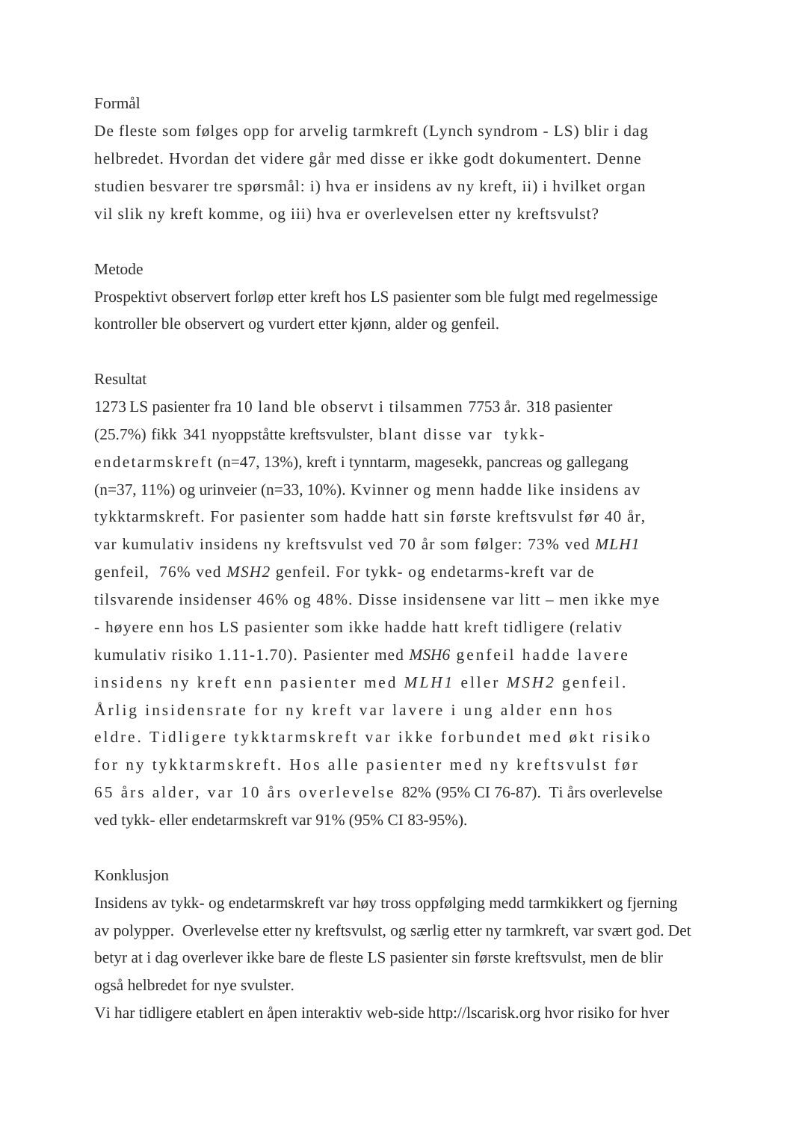# Formål

De fleste som følges opp for arvelig tarmkreft (Lynch syndrom - LS) blir i dag helbredet. Hvordan det videre går med disse er ikke godt dokumentert. Denne studien besvarer tre spørsmål: i) hva er insidens av ny kreft, ii) i hvilket organ vil slik ny kreft komme, og iii) hva er overlevelsen etter ny kreftsvulst?

# Metode

Prospektivt observert forløp etter kreft hos LS pasienter som ble fulgt med regelmessige kontroller ble observert og vurdert etter kjønn, alder og genfeil.

# Resultat

1273 LS pasienter fra 10 land ble observt i tilsammen 7753 år. 318 pasienter (25.7%) fikk 341 nyoppståtte kreftsvulster, blant disse var tykkendetarmskreft (n=47, 13%), kreft i tynntarm, magesekk, pancreas og gallegang (n=37, 11%) og urinveier (n=33, 10%). Kvinner og menn hadde like insidens av tykktarmskreft. For pasienter som hadde hatt sin første kreftsvulst før 40 år, var kumulativ insidens ny kreftsvulst ved 70 år som følger: 73% ved *MLH1* genfeil, 76% ved *MSH2* genfeil. For tykk- og endetarms-kreft var de tilsvarende insidenser 46% og 48%. Disse insidensene var litt – men ikke mye - høyere enn hos LS pasienter som ikke hadde hatt kreft tidligere (relativ kumulativ risiko 1.11-1.70). Pasienter med *MSH6* genfeil hadde lavere insidens ny kreft enn pasienter med *MLH1* eller *MSH2* genfeil. Årlig insidensrate for ny kreft var lavere i ung alder enn hos eldre. Tidligere tykktarmskreft var ikke forbundet med økt risiko for ny tykktarmskreft. Hos alle pasienter med ny kreftsvulst før 65 års alder, var 10 års overlevelse 82% (95% CI 76-87). Ti års overlevelse ved tykk- eller endetarmskreft var 91% (95% CI 83-95%).

## Konklusjon

Insidens av tykk- og endetarmskreft var høy tross oppfølging medd tarmkikkert og fjerning av polypper. Overlevelse etter ny kreftsvulst, og særlig etter ny tarmkreft, var svært god. Det betyr at i dag overlever ikke bare de fleste LS pasienter sin første kreftsvulst, men de blir også helbredet for nye svulster.

Vi har tidligere etablert en åpen interaktiv web-side http://lscarisk.org hvor risiko for hver